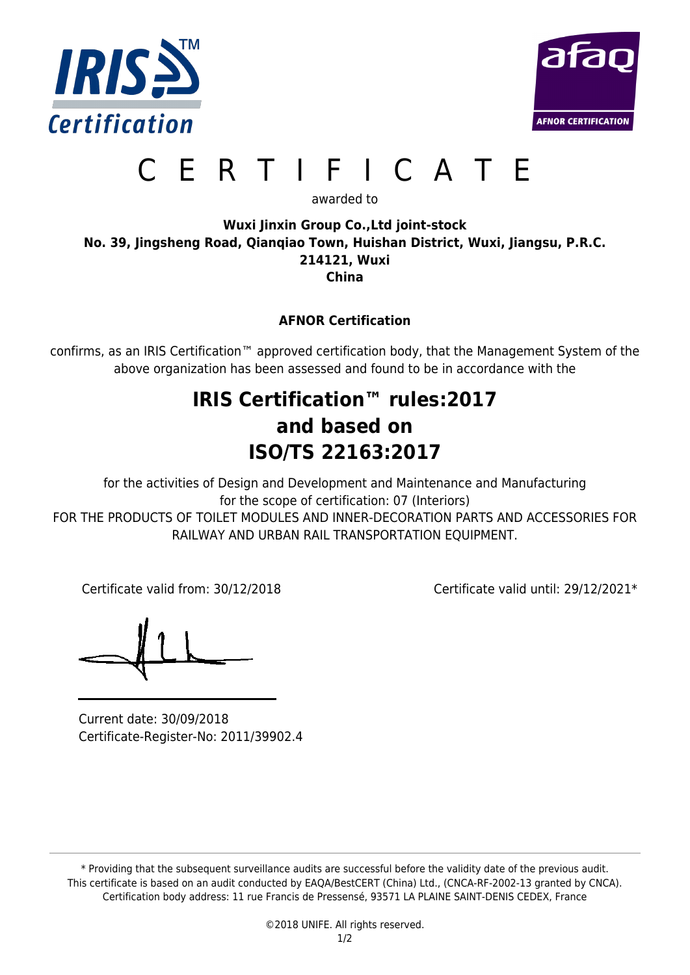



# CERTIFICATE

awarded to

#### **Wuxi Jinxin Group Co.,Ltd joint-stock No. 39, Jingsheng Road, Qianqiao Town, Huishan District, Wuxi, Jiangsu, P.R.C. 214121, Wuxi China**

**AFNOR Certification**

confirms, as an IRIS Certification™ approved certification body, that the Management System of the above organization has been assessed and found to be in accordance with the

# **IRIS Certification™ rules:2017 and based on ISO/TS 22163:2017**

for the activities of Design and Development and Maintenance and Manufacturing for the scope of certification: 07 (Interiors) FOR THE PRODUCTS OF TOILET MODULES AND INNER-DECORATION PARTS AND ACCESSORIES FOR RAILWAY AND URBAN RAIL TRANSPORTATION EQUIPMENT.

Certificate valid from: 30/12/2018 Certificate valid until: 29/12/2021\*

Current date: 30/09/2018 Certificate-Register-No: 2011/39902.4

\* Providing that the subsequent surveillance audits are successful before the validity date of the previous audit. This certificate is based on an audit conducted by EAQA/BestCERT (China) Ltd., (CNCA-RF-2002-13 granted by CNCA). Certification body address: 11 rue Francis de Pressensé, 93571 LA PLAINE SAINT-DENIS CEDEX, France